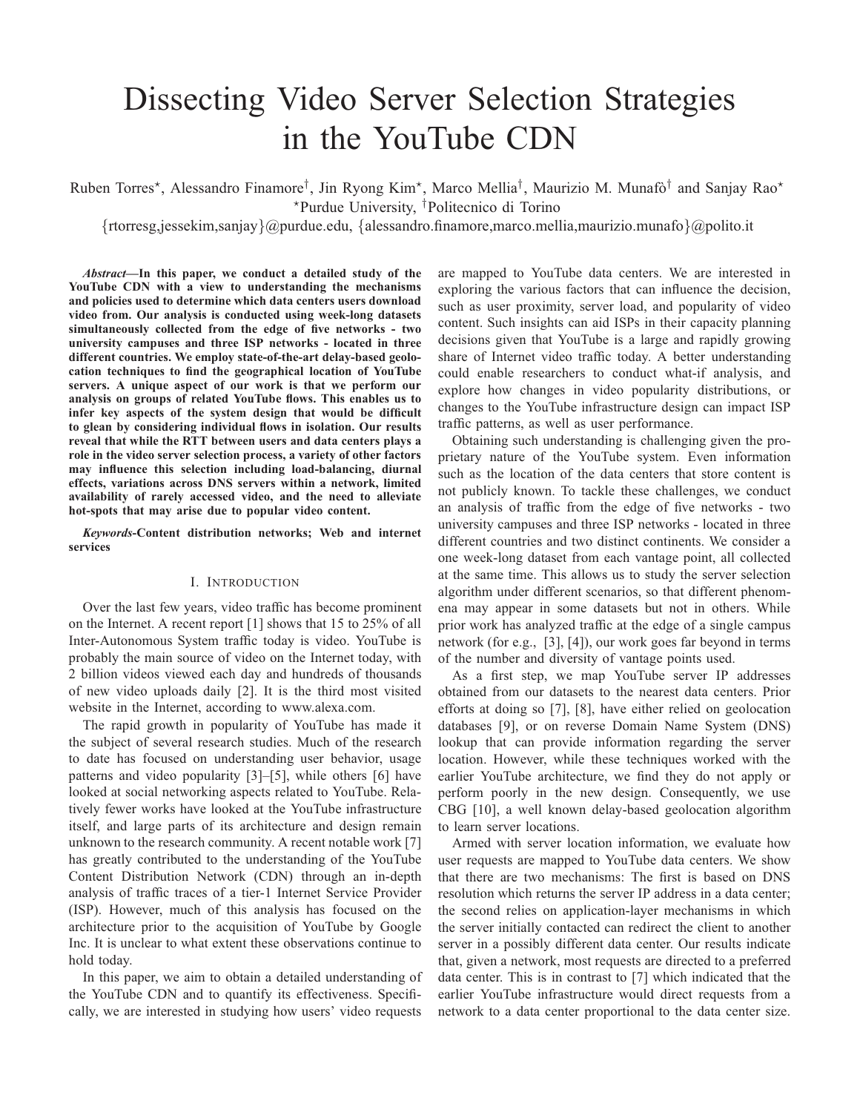# Dissecting Video Server Selection Strategies in the YouTube CDN

Ruben Torres\*, Alessandro Finamore<sup>†</sup>, Jin Ryong Kim\*, Marco Mellia<sup>†</sup>, Maurizio M. Munafò<sup>†</sup> and Sanjay Rao\* <sup>⋆</sup>Purdue University, †Politecnico di Torino

{rtorresg,jessekim,sanjay}@purdue.edu, {alessandro.finamore,marco.mellia,maurizio.munafo}@polito.it

*Abstract***—In this paper, we conduct a detailed study of the YouTube CDN with a view to understanding the mechanisms and policies used to determine which data centers users download video from. Our analysis is conducted using week-long datasets simultaneously collected from the edge of five networks - two university campuses and three ISP networks - located in three different countries. We employ state-of-the-art delay-based geolocation techniques to find the geographical location of YouTube servers. A unique aspect of our work is that we perform our analysis on groups of related YouTube flows. This enables us to infer key aspects of the system design that would be difficult to glean by considering individual flows in isolation. Our results reveal that while the RTT between users and data centers plays a role in the video server selection process, a variety of other factors may influence this selection including load-balancing, diurnal effects, variations across DNS servers within a network, limited availability of rarely accessed video, and the need to alleviate hot-spots that may arise due to popular video content.**

*Keywords***-Content distribution networks; Web and internet services**

### I. INTRODUCTION

Over the last few years, video traffic has become prominent on the Internet. A recent report [1] shows that 15 to 25% of all Inter-Autonomous System traffic today is video. YouTube is probably the main source of video on the Internet today, with 2 billion videos viewed each day and hundreds of thousands of new video uploads daily [2]. It is the third most visited website in the Internet, according to www.alexa.com.

The rapid growth in popularity of YouTube has made it the subject of several research studies. Much of the research to date has focused on understanding user behavior, usage patterns and video popularity [3]–[5], while others [6] have looked at social networking aspects related to YouTube. Relatively fewer works have looked at the YouTube infrastructure itself, and large parts of its architecture and design remain unknown to the research community. A recent notable work [7] has greatly contributed to the understanding of the YouTube Content Distribution Network (CDN) through an in-depth analysis of traffic traces of a tier-1 Internet Service Provider (ISP). However, much of this analysis has focused on the architecture prior to the acquisition of YouTube by Google Inc. It is unclear to what extent these observations continue to hold today.

In this paper, we aim to obtain a detailed understanding of the YouTube CDN and to quantify its effectiveness. Specifically, we are interested in studying how users' video requests

are mapped to YouTube data centers. We are interested in exploring the various factors that can influence the decision, such as user proximity, server load, and popularity of video content. Such insights can aid ISPs in their capacity planning decisions given that YouTube is a large and rapidly growing share of Internet video traffic today. A better understanding could enable researchers to conduct what-if analysis, and explore how changes in video popularity distributions, or changes to the YouTube infrastructure design can impact ISP traffic patterns, as well as user performance.

Obtaining such understanding is challenging given the proprietary nature of the YouTube system. Even information such as the location of the data centers that store content is not publicly known. To tackle these challenges, we conduct an analysis of traffic from the edge of five networks - two university campuses and three ISP networks - located in three different countries and two distinct continents. We consider a one week-long dataset from each vantage point, all collected at the same time. This allows us to study the server selection algorithm under different scenarios, so that different phenomena may appear in some datasets but not in others. While prior work has analyzed traffic at the edge of a single campus network (for e.g., [3], [4]), our work goes far beyond in terms of the number and diversity of vantage points used.

As a first step, we map YouTube server IP addresses obtained from our datasets to the nearest data centers. Prior efforts at doing so [7], [8], have either relied on geolocation databases [9], or on reverse Domain Name System (DNS) lookup that can provide information regarding the server location. However, while these techniques worked with the earlier YouTube architecture, we find they do not apply or perform poorly in the new design. Consequently, we use CBG [10], a well known delay-based geolocation algorithm to learn server locations.

Armed with server location information, we evaluate how user requests are mapped to YouTube data centers. We show that there are two mechanisms: The first is based on DNS resolution which returns the server IP address in a data center; the second relies on application-layer mechanisms in which the server initially contacted can redirect the client to another server in a possibly different data center. Our results indicate that, given a network, most requests are directed to a preferred data center. This is in contrast to [7] which indicated that the earlier YouTube infrastructure would direct requests from a network to a data center proportional to the data center size.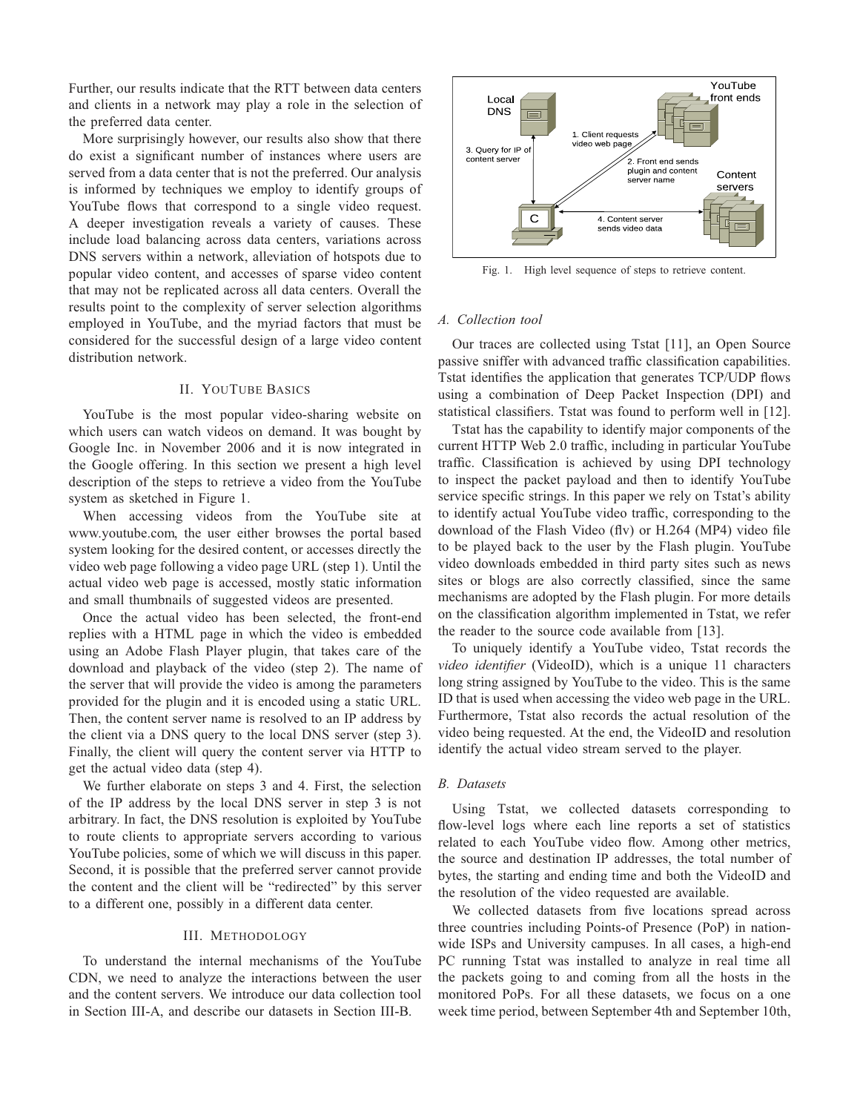Further, our results indicate that the RTT between data centers and clients in a network may play a role in the selection of the preferred data center.

More surprisingly however, our results also show that there do exist a significant number of instances where users are served from a data center that is not the preferred. Our analysis is informed by techniques we employ to identify groups of YouTube flows that correspond to a single video request. A deeper investigation reveals a variety of causes. These include load balancing across data centers, variations across DNS servers within a network, alleviation of hotspots due to popular video content, and accesses of sparse video content that may not be replicated across all data centers. Overall the results point to the complexity of server selection algorithms employed in YouTube, and the myriad factors that must be considered for the successful design of a large video content distribution network.

## II. YOUTUBE BASICS

YouTube is the most popular video-sharing website on which users can watch videos on demand. It was bought by Google Inc. in November 2006 and it is now integrated in the Google offering. In this section we present a high level description of the steps to retrieve a video from the YouTube system as sketched in Figure 1.

When accessing videos from the YouTube site at www.youtube.com, the user either browses the portal based system looking for the desired content, or accesses directly the video web page following a video page URL (step 1). Until the actual video web page is accessed, mostly static information and small thumbnails of suggested videos are presented.

Once the actual video has been selected, the front-end replies with a HTML page in which the video is embedded using an Adobe Flash Player plugin, that takes care of the download and playback of the video (step 2). The name of the server that will provide the video is among the parameters provided for the plugin and it is encoded using a static URL. Then, the content server name is resolved to an IP address by the client via a DNS query to the local DNS server (step 3). Finally, the client will query the content server via HTTP to get the actual video data (step 4).

We further elaborate on steps 3 and 4. First, the selection of the IP address by the local DNS server in step 3 is not arbitrary. In fact, the DNS resolution is exploited by YouTube to route clients to appropriate servers according to various YouTube policies, some of which we will discuss in this paper. Second, it is possible that the preferred server cannot provide the content and the client will be "redirected" by this server to a different one, possibly in a different data center.

## III. METHODOLOGY

To understand the internal mechanisms of the YouTube CDN, we need to analyze the interactions between the user and the content servers. We introduce our data collection tool in Section III-A, and describe our datasets in Section III-B.



Fig. 1. High level sequence of steps to retrieve content.

# *A. Collection tool*

Our traces are collected using Tstat [11], an Open Source passive sniffer with advanced traffic classification capabilities. Tstat identifies the application that generates TCP/UDP flows using a combination of Deep Packet Inspection (DPI) and statistical classifiers. Tstat was found to perform well in [12].

Tstat has the capability to identify major components of the current HTTP Web 2.0 traffic, including in particular YouTube traffic. Classification is achieved by using DPI technology to inspect the packet payload and then to identify YouTube service specific strings. In this paper we rely on Tstat's ability to identify actual YouTube video traffic, corresponding to the download of the Flash Video (flv) or H.264 (MP4) video file to be played back to the user by the Flash plugin. YouTube video downloads embedded in third party sites such as news sites or blogs are also correctly classified, since the same mechanisms are adopted by the Flash plugin. For more details on the classification algorithm implemented in Tstat, we refer the reader to the source code available from [13].

To uniquely identify a YouTube video, Tstat records the *video identifier* (VideoID), which is a unique 11 characters long string assigned by YouTube to the video. This is the same ID that is used when accessing the video web page in the URL. Furthermore, Tstat also records the actual resolution of the video being requested. At the end, the VideoID and resolution identify the actual video stream served to the player.

#### *B. Datasets*

Using Tstat, we collected datasets corresponding to flow-level logs where each line reports a set of statistics related to each YouTube video flow. Among other metrics, the source and destination IP addresses, the total number of bytes, the starting and ending time and both the VideoID and the resolution of the video requested are available.

We collected datasets from five locations spread across three countries including Points-of Presence (PoP) in nationwide ISPs and University campuses. In all cases, a high-end PC running Tstat was installed to analyze in real time all the packets going to and coming from all the hosts in the monitored PoPs. For all these datasets, we focus on a one week time period, between September 4th and September 10th,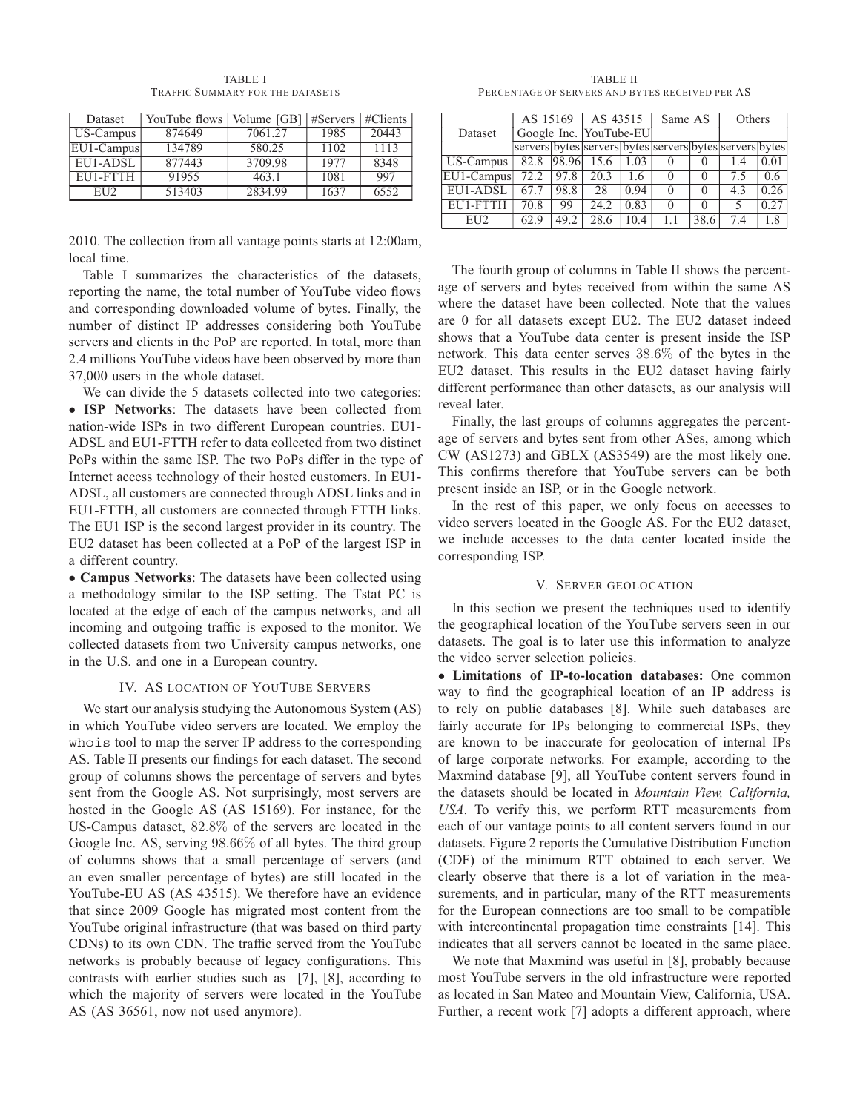TABLE I TRAFFIC SUMMARY FOR THE DATASETS

| Dataset         | YouTube flows | Volume [GB]   #Servers   #Clients |      |       |
|-----------------|---------------|-----------------------------------|------|-------|
| US-Campus       | 874649        | 7061.27                           | 1985 | 20443 |
| EU1-Campus      | 134789        | 580.25                            | 1102 | 1113  |
| EU1-ADSL        | 877443        | 3709.98                           | 1977 | 8348  |
| EU1-FTTH        | 91955         | 463.1                             | 1081 | 997   |
| EH <sub>2</sub> | 513403        | 2834.99                           | 1637 | 6552  |

2010. The collection from all vantage points starts at 12:00am, local time.

Table I summarizes the characteristics of the datasets, reporting the name, the total number of YouTube video flows and corresponding downloaded volume of bytes. Finally, the number of distinct IP addresses considering both YouTube servers and clients in the PoP are reported. In total, more than 2.4 millions YouTube videos have been observed by more than 37,000 users in the whole dataset.

We can divide the 5 datasets collected into two categories: • **ISP Networks**: The datasets have been collected from nation-wide ISPs in two different European countries. EU1- ADSL and EU1-FTTH refer to data collected from two distinct PoPs within the same ISP. The two PoPs differ in the type of Internet access technology of their hosted customers. In EU1- ADSL, all customers are connected through ADSL links and in EU1-FTTH, all customers are connected through FTTH links. The EU1 ISP is the second largest provider in its country. The EU2 dataset has been collected at a PoP of the largest ISP in a different country.

• **Campus Networks**: The datasets have been collected using a methodology similar to the ISP setting. The Tstat PC is located at the edge of each of the campus networks, and all incoming and outgoing traffic is exposed to the monitor. We collected datasets from two University campus networks, one in the U.S. and one in a European country.

# IV. AS LOCATION OF YOUTUBE SERVERS

We start our analysis studying the Autonomous System (AS) in which YouTube video servers are located. We employ the whois tool to map the server IP address to the corresponding AS. Table II presents our findings for each dataset. The second group of columns shows the percentage of servers and bytes sent from the Google AS. Not surprisingly, most servers are hosted in the Google AS (AS 15169). For instance, for the US-Campus dataset, 82.8% of the servers are located in the Google Inc. AS, serving 98.66% of all bytes. The third group of columns shows that a small percentage of servers (and an even smaller percentage of bytes) are still located in the YouTube-EU AS (AS 43515). We therefore have an evidence that since 2009 Google has migrated most content from the YouTube original infrastructure (that was based on third party CDNs) to its own CDN. The traffic served from the YouTube networks is probably because of legacy configurations. This contrasts with earlier studies such as [7], [8], according to which the majority of servers were located in the YouTube AS (AS 36561, now not used anymore).

TABLE II PERCENTAGE OF SERVERS AND BYTES RECEIVED PER AS

|            | AS 15169 |       | AS 43515                                                |      | Same AS |      | Others |      |
|------------|----------|-------|---------------------------------------------------------|------|---------|------|--------|------|
| Dataset    |          |       | Google Inc. YouTube-EU                                  |      |         |      |        |      |
|            |          |       | servers bytes servers bytes servers bytes servers bytes |      |         |      |        |      |
| US-Campus  | 82.8     | 98.96 | 15.6                                                    | 1.03 |         |      |        |      |
| EU1-Campus | 72.2     | 97.8  | 20.3                                                    | 1.6  |         |      |        | 0.6  |
| EU1-ADSI   |          | 98.8  | 28                                                      | 0.94 |         |      | 43     | 0.26 |
| EU1-FTTH   | 70.8     | 99    | 24.2                                                    | 0.83 |         |      |        |      |
|            |          | 49.2  | 28.6                                                    | 10.4 |         | 38.6 | 74     |      |

The fourth group of columns in Table II shows the percentage of servers and bytes received from within the same AS where the dataset have been collected. Note that the values are 0 for all datasets except EU2. The EU2 dataset indeed shows that a YouTube data center is present inside the ISP network. This data center serves 38.6% of the bytes in the EU2 dataset. This results in the EU2 dataset having fairly different performance than other datasets, as our analysis will reveal later.

Finally, the last groups of columns aggregates the percentage of servers and bytes sent from other ASes, among which CW (AS1273) and GBLX (AS3549) are the most likely one. This confirms therefore that YouTube servers can be both present inside an ISP, or in the Google network.

In the rest of this paper, we only focus on accesses to video servers located in the Google AS. For the EU2 dataset, we include accesses to the data center located inside the corresponding ISP.

## V. SERVER GEOLOCATION

In this section we present the techniques used to identify the geographical location of the YouTube servers seen in our datasets. The goal is to later use this information to analyze the video server selection policies.

• **Limitations of IP-to-location databases:** One common way to find the geographical location of an IP address is to rely on public databases [8]. While such databases are fairly accurate for IPs belonging to commercial ISPs, they are known to be inaccurate for geolocation of internal IPs of large corporate networks. For example, according to the Maxmind database [9], all YouTube content servers found in the datasets should be located in *Mountain View, California, USA*. To verify this, we perform RTT measurements from each of our vantage points to all content servers found in our datasets. Figure 2 reports the Cumulative Distribution Function (CDF) of the minimum RTT obtained to each server. We clearly observe that there is a lot of variation in the measurements, and in particular, many of the RTT measurements for the European connections are too small to be compatible with intercontinental propagation time constraints [14]. This indicates that all servers cannot be located in the same place.

We note that Maxmind was useful in [8], probably because most YouTube servers in the old infrastructure were reported as located in San Mateo and Mountain View, California, USA. Further, a recent work [7] adopts a different approach, where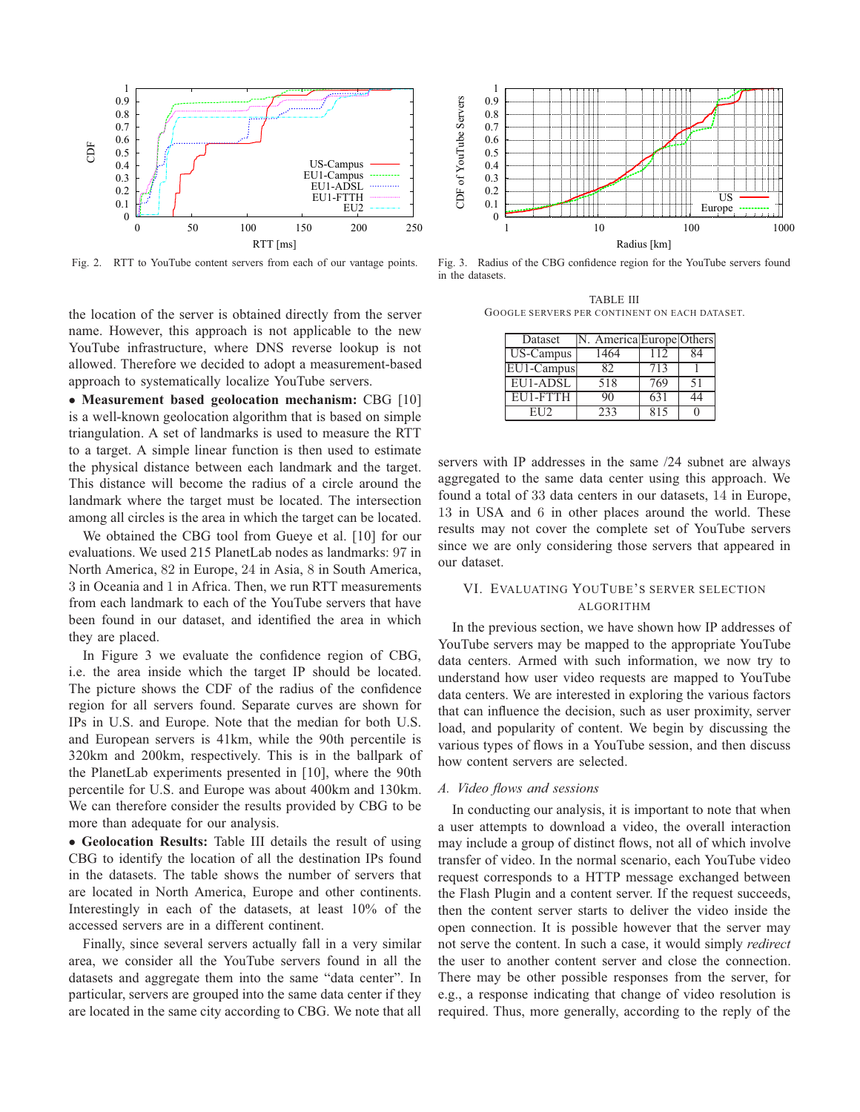

Fig. 2. RTT to YouTube content servers from each of our vantage points.

the location of the server is obtained directly from the server name. However, this approach is not applicable to the new YouTube infrastructure, where DNS reverse lookup is not allowed. Therefore we decided to adopt a measurement-based approach to systematically localize YouTube servers.

• **Measurement based geolocation mechanism:** CBG [10] is a well-known geolocation algorithm that is based on simple triangulation. A set of landmarks is used to measure the RTT to a target. A simple linear function is then used to estimate the physical distance between each landmark and the target. This distance will become the radius of a circle around the landmark where the target must be located. The intersection among all circles is the area in which the target can be located.

We obtained the CBG tool from Gueye et al. [10] for our evaluations. We used 215 PlanetLab nodes as landmarks: 97 in North America, 82 in Europe, 24 in Asia, 8 in South America, 3 in Oceania and 1 in Africa. Then, we run RTT measurements from each landmark to each of the YouTube servers that have been found in our dataset, and identified the area in which they are placed.

In Figure 3 we evaluate the confidence region of CBG, i.e. the area inside which the target IP should be located. The picture shows the CDF of the radius of the confidence region for all servers found. Separate curves are shown for IPs in U.S. and Europe. Note that the median for both U.S. and European servers is 41km, while the 90th percentile is 320km and 200km, respectively. This is in the ballpark of the PlanetLab experiments presented in [10], where the 90th percentile for U.S. and Europe was about 400km and 130km. We can therefore consider the results provided by CBG to be more than adequate for our analysis.

• **Geolocation Results:** Table III details the result of using CBG to identify the location of all the destination IPs found in the datasets. The table shows the number of servers that are located in North America, Europe and other continents. Interestingly in each of the datasets, at least 10% of the accessed servers are in a different continent.

Finally, since several servers actually fall in a very similar area, we consider all the YouTube servers found in all the datasets and aggregate them into the same "data center". In particular, servers are grouped into the same data center if they are located in the same city according to CBG. We note that all



Fig. 3. Radius of the CBG confidence region for the YouTube servers found in the datasets.

TABLE III GOOGLE SERVERS PER CONTINENT ON EACH DATASET.

| Dataset                 | America Europe Others |     |    |
|-------------------------|-----------------------|-----|----|
| $\overline{US-C}$ ampus | 1464                  | 112 |    |
| EU1-Campus              | 82                    | 713 |    |
| EU1-ADSL                | 518                   | 769 | 51 |
| EU1-FTTH                | 90                    | 631 |    |
| EH 12                   | 233                   | 815 |    |

servers with IP addresses in the same /24 subnet are always aggregated to the same data center using this approach. We found a total of 33 data centers in our datasets, 14 in Europe, 13 in USA and 6 in other places around the world. These results may not cover the complete set of YouTube servers since we are only considering those servers that appeared in our dataset.

# VI. EVALUATING YOUTUBE'S SERVER SELECTION ALGORITHM

In the previous section, we have shown how IP addresses of YouTube servers may be mapped to the appropriate YouTube data centers. Armed with such information, we now try to understand how user video requests are mapped to YouTube data centers. We are interested in exploring the various factors that can influence the decision, such as user proximity, server load, and popularity of content. We begin by discussing the various types of flows in a YouTube session, and then discuss how content servers are selected.

## *A. Video flows and sessions*

In conducting our analysis, it is important to note that when a user attempts to download a video, the overall interaction may include a group of distinct flows, not all of which involve transfer of video. In the normal scenario, each YouTube video request corresponds to a HTTP message exchanged between the Flash Plugin and a content server. If the request succeeds, then the content server starts to deliver the video inside the open connection. It is possible however that the server may not serve the content. In such a case, it would simply *redirect* the user to another content server and close the connection. There may be other possible responses from the server, for e.g., a response indicating that change of video resolution is required. Thus, more generally, according to the reply of the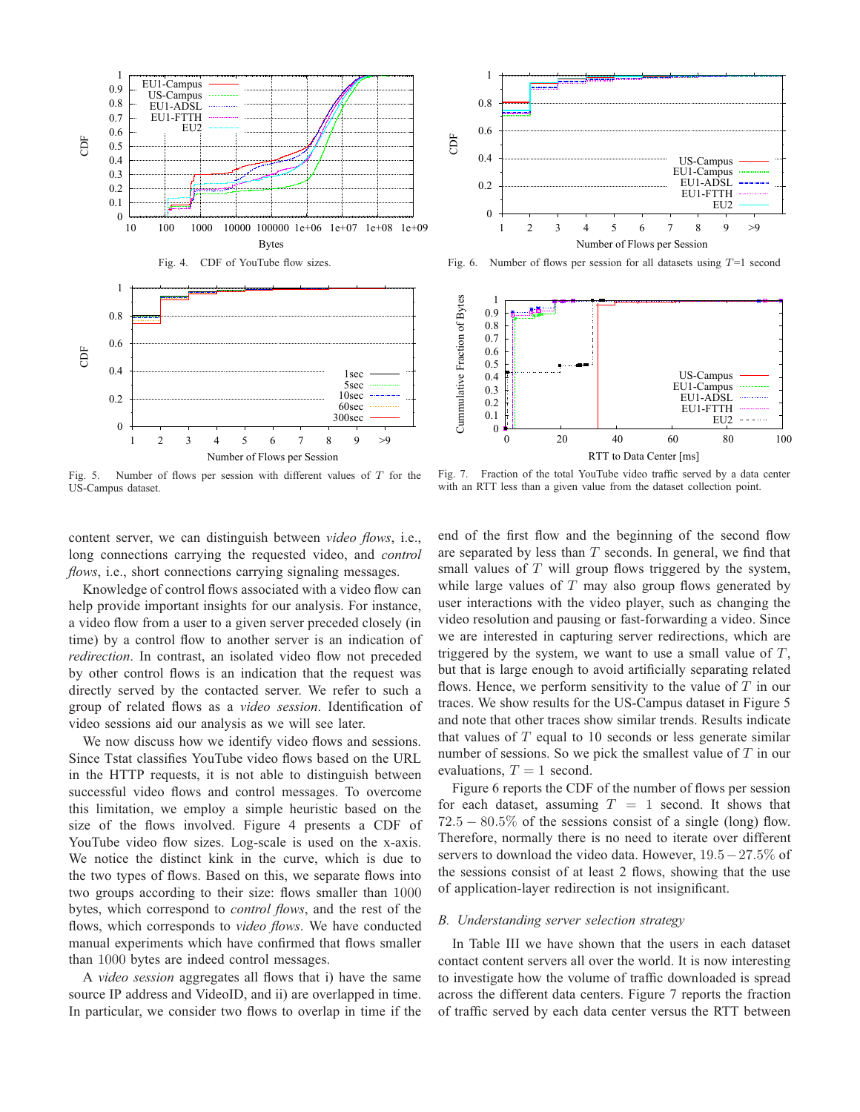

Fig. 5. Number of flows per session with different values of  $T$  for the US-Campus dataset.



Fig. 6. Number of flows per session for all datasets using  $T=1$  second



Fig. 7. Fraction of the total YouTube video traffic served by a data center with an RTT less than a given value from the dataset collection point.

content server, we can distinguish between *video flows*, i.e., long connections carrying the requested video, and *control flows*, i.e., short connections carrying signaling messages.

Knowledge of control flows associated with a video flow can help provide important insights for our analysis. For instance, a video flow from a user to a given server preceded closely (in time) by a control flow to another server is an indication of *redirection*. In contrast, an isolated video flow not preceded by other control flows is an indication that the request was directly served by the contacted server. We refer to such a group of related flows as a *video session*. Identification of video sessions aid our analysis as we will see later.

We now discuss how we identify video flows and sessions. Since Tstat classifies YouTube video flows based on the URL in the HTTP requests, it is not able to distinguish between successful video flows and control messages. To overcome this limitation, we employ a simple heuristic based on the size of the flows involved. Figure 4 presents a CDF of YouTube video flow sizes. Log-scale is used on the x-axis. We notice the distinct kink in the curve, which is due to the two types of flows. Based on this, we separate flows into two groups according to their size: flows smaller than 1000 bytes, which correspond to *control flows*, and the rest of the flows, which corresponds to *video flows*. We have conducted manual experiments which have confirmed that flows smaller than 1000 bytes are indeed control messages.

A *video session* aggregates all flows that i) have the same source IP address and VideoID, and ii) are overlapped in time. In particular, we consider two flows to overlap in time if the end of the first flow and the beginning of the second flow are separated by less than  $T$  seconds. In general, we find that small values of  $T$  will group flows triggered by the system, while large values of  $T$  may also group flows generated by user interactions with the video player, such as changing the video resolution and pausing or fast-forwarding a video. Since we are interested in capturing server redirections, which are triggered by the system, we want to use a small value of  $T$ , but that is large enough to avoid artificially separating related flows. Hence, we perform sensitivity to the value of  $T$  in our traces. We show results for the US-Campus dataset in Figure 5 and note that other traces show similar trends. Results indicate that values of  $T$  equal to 10 seconds or less generate similar number of sessions. So we pick the smallest value of  $T$  in our evaluations,  $T = 1$  second.

Figure 6 reports the CDF of the number of flows per session for each dataset, assuming  $T = 1$  second. It shows that  $72.5 - 80.5\%$  of the sessions consist of a single (long) flow. Therefore, normally there is no need to iterate over different servers to download the video data. However, 19.5−27.5% of the sessions consist of at least 2 flows, showing that the use of application-layer redirection is not insignificant.

#### *B. Understanding server selection strategy*

In Table III we have shown that the users in each dataset contact content servers all over the world. It is now interesting to investigate how the volume of traffic downloaded is spread across the different data centers. Figure 7 reports the fraction of traffic served by each data center versus the RTT between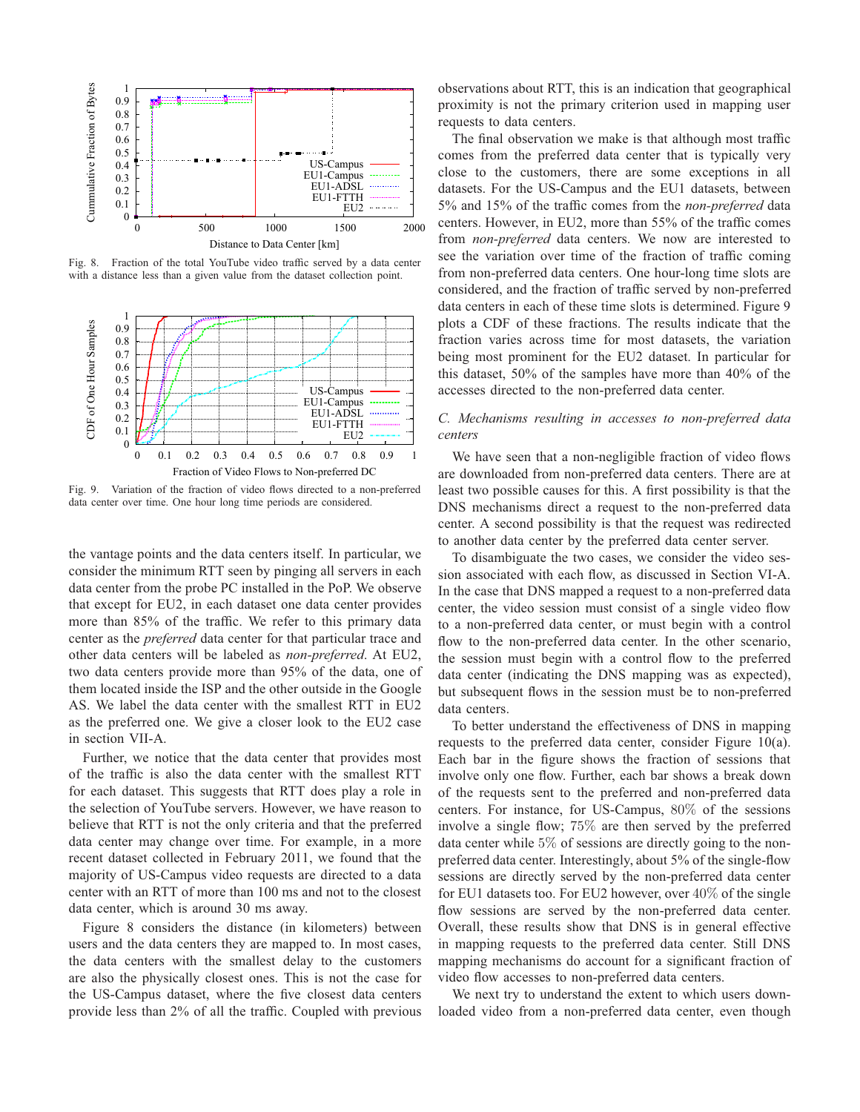

Fig. 8. Fraction of the total YouTube video traffic served by a data center with a distance less than a given value from the dataset collection point.



Fig. 9. Variation of the fraction of video flows directed to a non-preferred data center over time. One hour long time periods are considered.

the vantage points and the data centers itself. In particular, we consider the minimum RTT seen by pinging all servers in each data center from the probe PC installed in the PoP. We observe that except for EU2, in each dataset one data center provides more than 85% of the traffic. We refer to this primary data center as the *preferred* data center for that particular trace and other data centers will be labeled as *non-preferred*. At EU2, two data centers provide more than 95% of the data, one of them located inside the ISP and the other outside in the Google AS. We label the data center with the smallest RTT in EU2 as the preferred one. We give a closer look to the EU2 case in section VII-A.

Further, we notice that the data center that provides most of the traffic is also the data center with the smallest RTT for each dataset. This suggests that RTT does play a role in the selection of YouTube servers. However, we have reason to believe that RTT is not the only criteria and that the preferred data center may change over time. For example, in a more recent dataset collected in February 2011, we found that the majority of US-Campus video requests are directed to a data center with an RTT of more than 100 ms and not to the closest data center, which is around 30 ms away.

Figure 8 considers the distance (in kilometers) between users and the data centers they are mapped to. In most cases, the data centers with the smallest delay to the customers are also the physically closest ones. This is not the case for the US-Campus dataset, where the five closest data centers provide less than 2% of all the traffic. Coupled with previous observations about RTT, this is an indication that geographical proximity is not the primary criterion used in mapping user requests to data centers.

The final observation we make is that although most traffic comes from the preferred data center that is typically very close to the customers, there are some exceptions in all datasets. For the US-Campus and the EU1 datasets, between 5% and 15% of the traffic comes from the *non-preferred* data centers. However, in EU2, more than 55% of the traffic comes from *non-preferred* data centers. We now are interested to see the variation over time of the fraction of traffic coming from non-preferred data centers. One hour-long time slots are considered, and the fraction of traffic served by non-preferred data centers in each of these time slots is determined. Figure 9 plots a CDF of these fractions. The results indicate that the fraction varies across time for most datasets, the variation being most prominent for the EU2 dataset. In particular for this dataset, 50% of the samples have more than 40% of the accesses directed to the non-preferred data center.

# *C. Mechanisms resulting in accesses to non-preferred data centers*

We have seen that a non-negligible fraction of video flows are downloaded from non-preferred data centers. There are at least two possible causes for this. A first possibility is that the DNS mechanisms direct a request to the non-preferred data center. A second possibility is that the request was redirected to another data center by the preferred data center server.

To disambiguate the two cases, we consider the video session associated with each flow, as discussed in Section VI-A. In the case that DNS mapped a request to a non-preferred data center, the video session must consist of a single video flow to a non-preferred data center, or must begin with a control flow to the non-preferred data center. In the other scenario, the session must begin with a control flow to the preferred data center (indicating the DNS mapping was as expected), but subsequent flows in the session must be to non-preferred data centers.

To better understand the effectiveness of DNS in mapping requests to the preferred data center, consider Figure 10(a). Each bar in the figure shows the fraction of sessions that involve only one flow. Further, each bar shows a break down of the requests sent to the preferred and non-preferred data centers. For instance, for US-Campus, 80% of the sessions involve a single flow; 75% are then served by the preferred data center while 5% of sessions are directly going to the nonpreferred data center. Interestingly, about 5% of the single-flow sessions are directly served by the non-preferred data center for EU1 datasets too. For EU2 however, over 40% of the single flow sessions are served by the non-preferred data center. Overall, these results show that DNS is in general effective in mapping requests to the preferred data center. Still DNS mapping mechanisms do account for a significant fraction of video flow accesses to non-preferred data centers.

We next try to understand the extent to which users downloaded video from a non-preferred data center, even though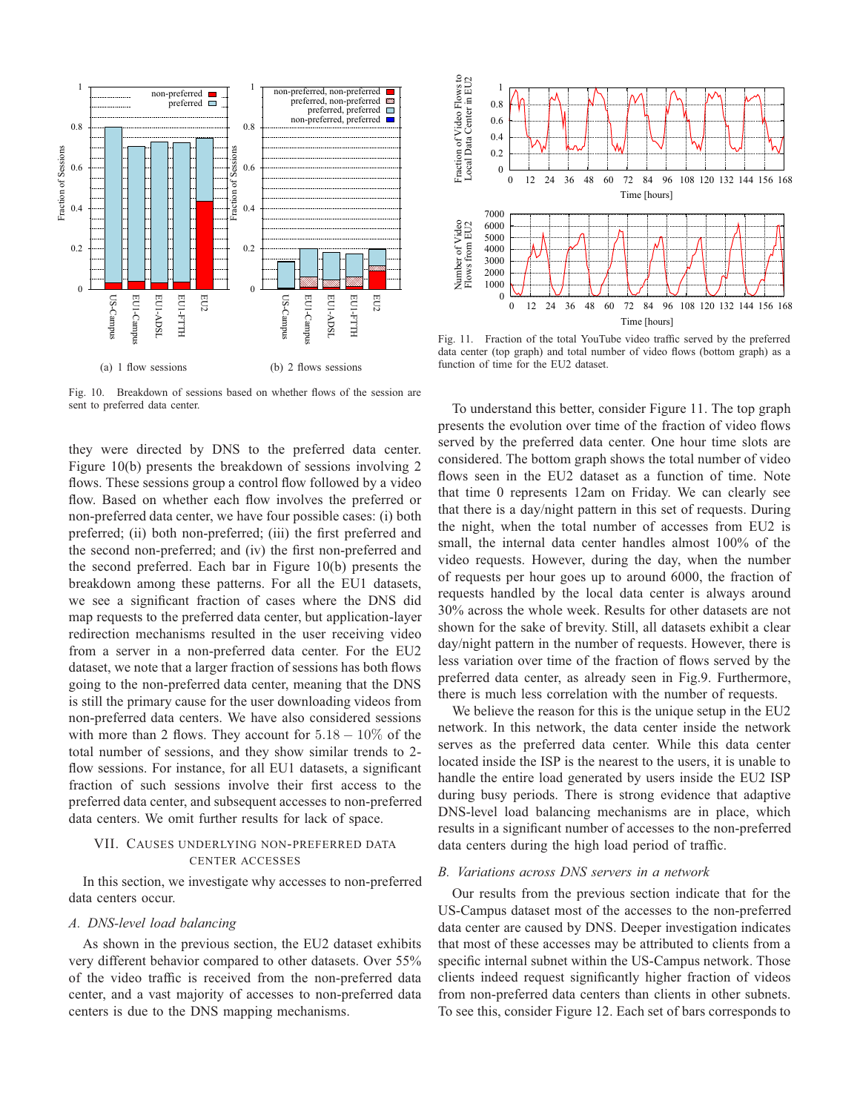

Fig. 10. Breakdown of sessions based on whether flows of the session are sent to preferred data center.

they were directed by DNS to the preferred data center. Figure 10(b) presents the breakdown of sessions involving 2 flows. These sessions group a control flow followed by a video flow. Based on whether each flow involves the preferred or non-preferred data center, we have four possible cases: (i) both preferred; (ii) both non-preferred; (iii) the first preferred and the second non-preferred; and (iv) the first non-preferred and the second preferred. Each bar in Figure 10(b) presents the breakdown among these patterns. For all the EU1 datasets, we see a significant fraction of cases where the DNS did map requests to the preferred data center, but application-layer redirection mechanisms resulted in the user receiving video from a server in a non-preferred data center. For the EU2 dataset, we note that a larger fraction of sessions has both flows going to the non-preferred data center, meaning that the DNS is still the primary cause for the user downloading videos from non-preferred data centers. We have also considered sessions with more than 2 flows. They account for  $5.18 - 10\%$  of the total number of sessions, and they show similar trends to 2 flow sessions. For instance, for all EU1 datasets, a significant fraction of such sessions involve their first access to the preferred data center, and subsequent accesses to non-preferred data centers. We omit further results for lack of space.

# VII. CAUSES UNDERLYING NON-PREFERRED DATA CENTER ACCESSES

In this section, we investigate why accesses to non-preferred data centers occur.

## *A. DNS-level load balancing*

As shown in the previous section, the EU2 dataset exhibits very different behavior compared to other datasets. Over 55% of the video traffic is received from the non-preferred data center, and a vast majority of accesses to non-preferred data centers is due to the DNS mapping mechanisms.



Fig. 11. Fraction of the total YouTube video traffic served by the preferred data center (top graph) and total number of video flows (bottom graph) as a function of time for the EU2 dataset.

To understand this better, consider Figure 11. The top graph presents the evolution over time of the fraction of video flows served by the preferred data center. One hour time slots are considered. The bottom graph shows the total number of video flows seen in the EU2 dataset as a function of time. Note that time 0 represents 12am on Friday. We can clearly see that there is a day/night pattern in this set of requests. During the night, when the total number of accesses from EU2 is small, the internal data center handles almost 100% of the video requests. However, during the day, when the number of requests per hour goes up to around 6000, the fraction of requests handled by the local data center is always around 30% across the whole week. Results for other datasets are not shown for the sake of brevity. Still, all datasets exhibit a clear day/night pattern in the number of requests. However, there is less variation over time of the fraction of flows served by the preferred data center, as already seen in Fig.9. Furthermore, there is much less correlation with the number of requests.

We believe the reason for this is the unique setup in the EU2 network. In this network, the data center inside the network serves as the preferred data center. While this data center located inside the ISP is the nearest to the users, it is unable to handle the entire load generated by users inside the EU2 ISP during busy periods. There is strong evidence that adaptive DNS-level load balancing mechanisms are in place, which results in a significant number of accesses to the non-preferred data centers during the high load period of traffic.

## *B. Variations across DNS servers in a network*

Our results from the previous section indicate that for the US-Campus dataset most of the accesses to the non-preferred data center are caused by DNS. Deeper investigation indicates that most of these accesses may be attributed to clients from a specific internal subnet within the US-Campus network. Those clients indeed request significantly higher fraction of videos from non-preferred data centers than clients in other subnets. To see this, consider Figure 12. Each set of bars corresponds to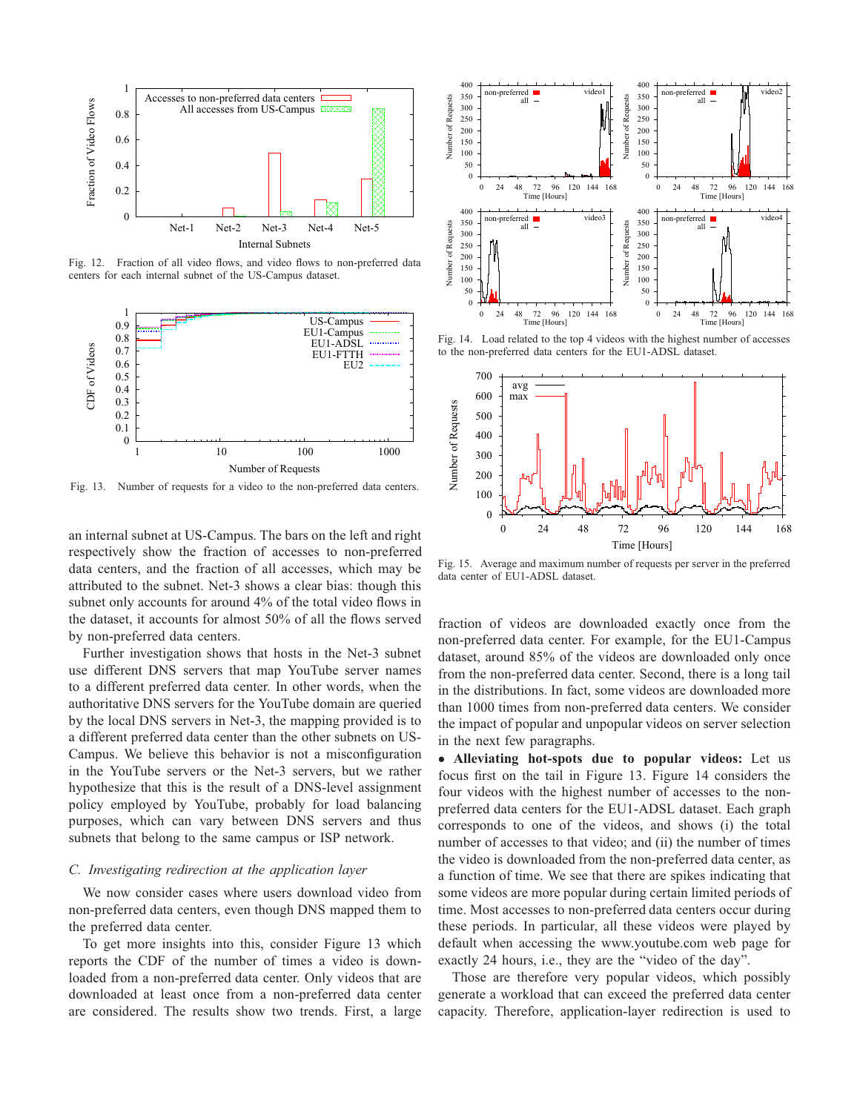

Fig. 12. Fraction of all video flows, and video flows to non-preferred data centers for each internal subnet of the US-Campus dataset.



Fig. 13. Number of requests for a video to the non-preferred data centers.

an internal subnet at US-Campus. The bars on the left and right respectively show the fraction of accesses to non-preferred data centers, and the fraction of all accesses, which may be attributed to the subnet. Net-3 shows a clear bias: though this subnet only accounts for around 4% of the total video flows in the dataset, it accounts for almost 50% of all the flows served by non-preferred data centers.

Further investigation shows that hosts in the Net-3 subnet use different DNS servers that map YouTube server names to a different preferred data center. In other words, when the authoritative DNS servers for the YouTube domain are queried by the local DNS servers in Net-3, the mapping provided is to a different preferred data center than the other subnets on US-Campus. We believe this behavior is not a misconfiguration in the YouTube servers or the Net-3 servers, but we rather hypothesize that this is the result of a DNS-level assignment policy employed by YouTube, probably for load balancing purposes, which can vary between DNS servers and thus subnets that belong to the same campus or ISP network.

#### *C. Investigating redirection at the application layer*

We now consider cases where users download video from non-preferred data centers, even though DNS mapped them to the preferred data center.

To get more insights into this, consider Figure 13 which reports the CDF of the number of times a video is downloaded from a non-preferred data center. Only videos that are downloaded at least once from a non-preferred data center are considered. The results show two trends. First, a large



Fig. 14. Load related to the top 4 videos with the highest number of accesses to the non-preferred data centers for the EU1-ADSL dataset.



Fig. 15. Average and maximum number of requests per server in the preferred data center of EU1-ADSL dataset.

fraction of videos are downloaded exactly once from the non-preferred data center. For example, for the EU1-Campus dataset, around 85% of the videos are downloaded only once from the non-preferred data center. Second, there is a long tail in the distributions. In fact, some videos are downloaded more than 1000 times from non-preferred data centers. We consider the impact of popular and unpopular videos on server selection in the next few paragraphs.

• **Alleviating hot-spots due to popular videos:** Let us focus first on the tail in Figure 13. Figure 14 considers the four videos with the highest number of accesses to the nonpreferred data centers for the EU1-ADSL dataset. Each graph corresponds to one of the videos, and shows (i) the total number of accesses to that video; and (ii) the number of times the video is downloaded from the non-preferred data center, as a function of time. We see that there are spikes indicating that some videos are more popular during certain limited periods of time. Most accesses to non-preferred data centers occur during these periods. In particular, all these videos were played by default when accessing the www.youtube.com web page for exactly 24 hours, i.e., they are the "video of the day".

Those are therefore very popular videos, which possibly generate a workload that can exceed the preferred data center capacity. Therefore, application-layer redirection is used to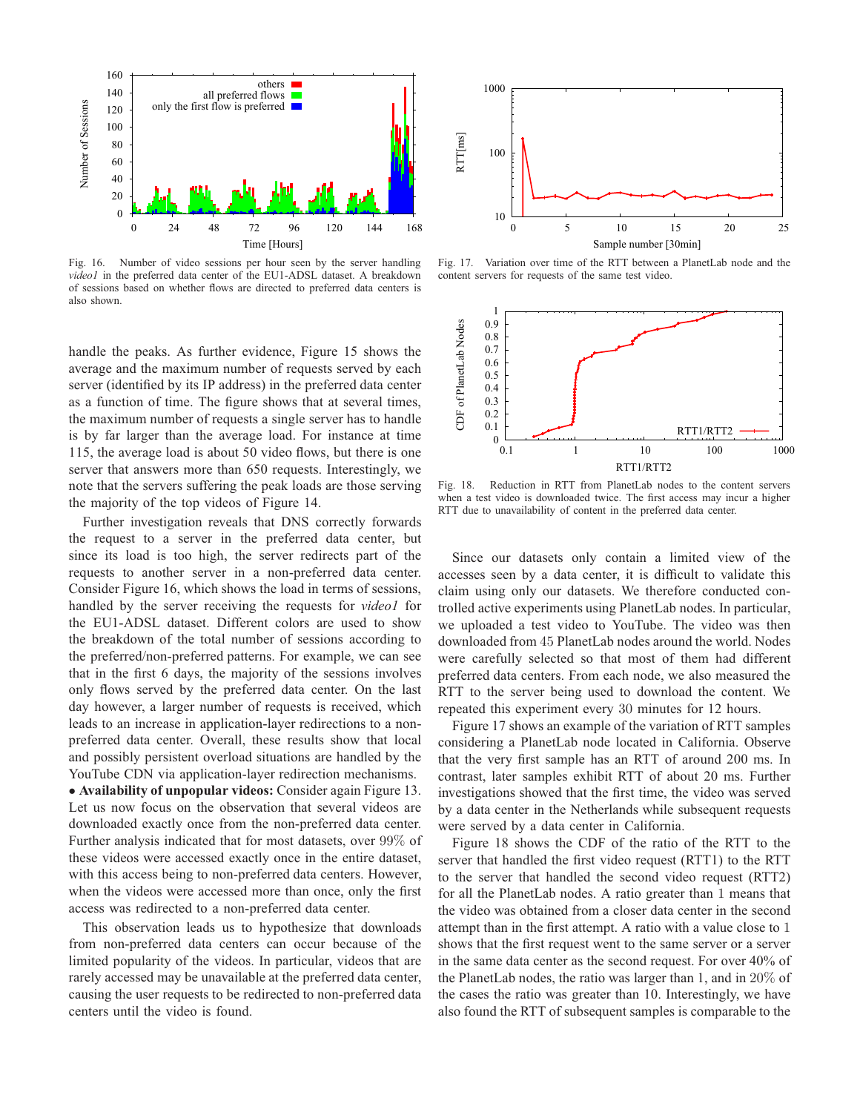

Fig. 16. Number of video sessions per hour seen by the server handling *video1* in the preferred data center of the EU1-ADSL dataset. A breakdown of sessions based on whether flows are directed to preferred data centers is also shown.

handle the peaks. As further evidence, Figure 15 shows the average and the maximum number of requests served by each server (identified by its IP address) in the preferred data center as a function of time. The figure shows that at several times, the maximum number of requests a single server has to handle is by far larger than the average load. For instance at time 115, the average load is about 50 video flows, but there is one server that answers more than 650 requests. Interestingly, we note that the servers suffering the peak loads are those serving the majority of the top videos of Figure 14.

Further investigation reveals that DNS correctly forwards the request to a server in the preferred data center, but since its load is too high, the server redirects part of the requests to another server in a non-preferred data center. Consider Figure 16, which shows the load in terms of sessions, handled by the server receiving the requests for *video1* for the EU1-ADSL dataset. Different colors are used to show the breakdown of the total number of sessions according to the preferred/non-preferred patterns. For example, we can see that in the first 6 days, the majority of the sessions involves only flows served by the preferred data center. On the last day however, a larger number of requests is received, which leads to an increase in application-layer redirections to a nonpreferred data center. Overall, these results show that local and possibly persistent overload situations are handled by the YouTube CDN via application-layer redirection mechanisms.

• **Availability of unpopular videos:** Consider again Figure 13. Let us now focus on the observation that several videos are downloaded exactly once from the non-preferred data center. Further analysis indicated that for most datasets, over 99% of these videos were accessed exactly once in the entire dataset, with this access being to non-preferred data centers. However, when the videos were accessed more than once, only the first access was redirected to a non-preferred data center.

This observation leads us to hypothesize that downloads from non-preferred data centers can occur because of the limited popularity of the videos. In particular, videos that are rarely accessed may be unavailable at the preferred data center, causing the user requests to be redirected to non-preferred data centers until the video is found.



Fig. 17. Variation over time of the RTT between a PlanetLab node and the content servers for requests of the same test video.



Fig. 18. Reduction in RTT from PlanetLab nodes to the content servers when a test video is downloaded twice. The first access may incur a higher RTT due to unavailability of content in the preferred data center.

Since our datasets only contain a limited view of the accesses seen by a data center, it is difficult to validate this claim using only our datasets. We therefore conducted controlled active experiments using PlanetLab nodes. In particular, we uploaded a test video to YouTube. The video was then downloaded from 45 PlanetLab nodes around the world. Nodes were carefully selected so that most of them had different preferred data centers. From each node, we also measured the RTT to the server being used to download the content. We repeated this experiment every 30 minutes for 12 hours.

Figure 17 shows an example of the variation of RTT samples considering a PlanetLab node located in California. Observe that the very first sample has an RTT of around 200 ms. In contrast, later samples exhibit RTT of about 20 ms. Further investigations showed that the first time, the video was served by a data center in the Netherlands while subsequent requests were served by a data center in California.

Figure 18 shows the CDF of the ratio of the RTT to the server that handled the first video request (RTT1) to the RTT to the server that handled the second video request (RTT2) for all the PlanetLab nodes. A ratio greater than 1 means that the video was obtained from a closer data center in the second attempt than in the first attempt. A ratio with a value close to 1 shows that the first request went to the same server or a server in the same data center as the second request. For over 40% of the PlanetLab nodes, the ratio was larger than 1, and in 20% of the cases the ratio was greater than 10. Interestingly, we have also found the RTT of subsequent samples is comparable to the